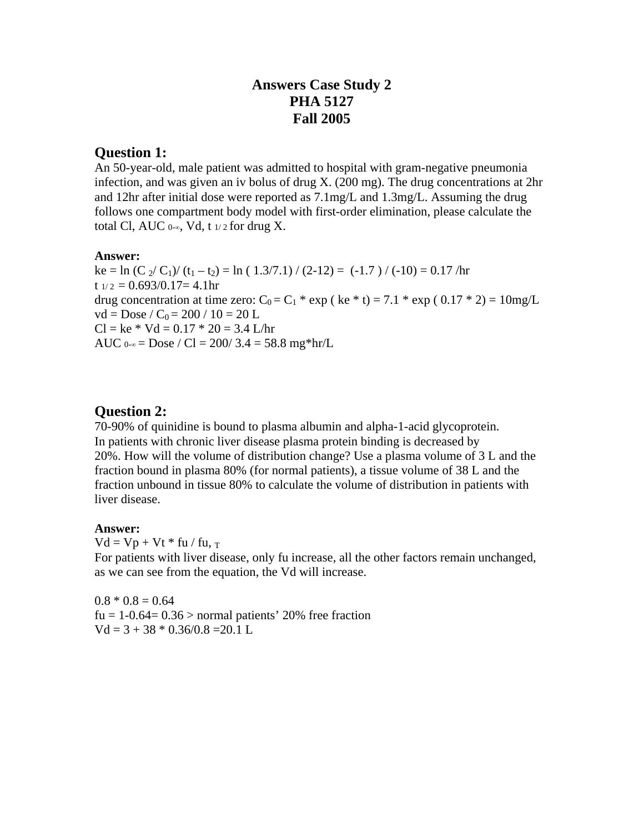# **Answers Case Study 2 PHA 5127 Fall 2005**

### **Question 1:**

An 50-year-old, male patient was admitted to hospital with gram-negative pneumonia infection, and was given an iv bolus of drug  $X$ . (200 mg). The drug concentrations at  $2hr$ and 12hr after initial dose were reported as 7.1mg/L and 1.3mg/L. Assuming the drug follows one compartment body model with first-order elimination, please calculate the total Cl, AUC  $0$ -∞, Vd, t  $1/2$  for drug X.

#### **Answer:**

ke = ln (C  $_2$ / C<sub>1</sub>)/ (t<sub>1</sub> - t<sub>2</sub>) = ln ( 1.3/7.1)/ (2-12) = (-1.7 )/ (-10) = 0.17/hr  $t_{1/2} = 0.693/0.17=4.1$ hr drug concentration at time zero:  $C_0 = C_1$  \* exp ( ke \* t) = 7.1 \* exp ( 0.17 \* 2) = 10mg/L  $vd = Doese / C_0 = 200 / 10 = 20 L$  $Cl = ke * Vd = 0.17 * 20 = 3.4$  L/hr AUC  $0.00 = Dose / Cl = 200 / 3.4 = 58.8$  mg\*hr/L

### **Question 2:**

70-90% of quinidine is bound to plasma albumin and alpha-1-acid glycoprotein. In patients with chronic liver disease plasma protein binding is decreased by 20%. How will the volume of distribution change? Use a plasma volume of 3 L and the fraction bound in plasma 80% (for normal patients), a tissue volume of 38 L and the fraction unbound in tissue 80% to calculate the volume of distribution in patients with liver disease.

#### **Answer:**

 $Vd = Vp + Vt * fu / fu, T$ For patients with liver disease, only fu increase, all the other factors remain unchanged, as we can see from the equation, the Vd will increase.

 $0.8 * 0.8 = 0.64$ fu =  $1-0.64=0.36$  > normal patients' 20% free fraction  $Vd = 3 + 38 * 0.36/0.8 = 20.1 L$